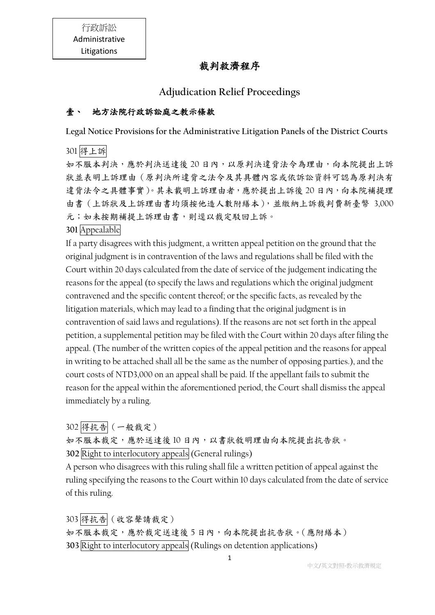# 裁判救濟程序

### **Adjudication Relief Proceedings**

#### 壹、 地方法院行政訴訟庭之教示條款

**Legal Notice Provisions for the Administrative Litigation Panels of the District Courts**

301 得上訴

如不服本判決,應於判決送達後20日內,以原判決違背法令為理由,向本院提出上訴 狀並表明上訴理由(原判決所違背之法令及其具體內容或依訴訟資料可認為原判決有 違背法令之具體事實)。其未載明上訴理由者,應於提出上訴後 20 日內,向本院補提理 由書(上訴狀及上訴理由書均須按他造人數附繕本),並繳納上訴裁判費新臺幣 3,000 元;如未按期補提上訴理由書,則逕以裁定駁回上訴。

**301** Appealable

If a party disagrees with this judgment, a written appeal petition on the ground that the original judgment is in contravention of the laws and regulations shall be filed with the Court within 20 days calculated from the date of service of the judgement indicating the reasons for the appeal (to specify the laws and regulations which the original judgment contravened and the specific content thereof; or the specific facts, as revealed by the litigation materials, which may lead to a finding that the original judgment is in contravention of said laws and regulations). If the reasons are not set forth in the appeal petition, a supplemental petition may be filed with the Court within 20 days after filing the appeal. (The number of the written copies of the appeal petition and the reasons for appeal in writing to be attached shall all be the same as the number of opposing parties.), and the court costs of NTD3,000 on an appeal shall be paid. If the appellant fails to submit the reason for the appeal within the aforementioned period, the Court shall dismiss the appeal immediately by a ruling.

302 得抗告(一般裁定)

如不服本裁定,應於送達後10日內,以書狀敘明理由向本院提出抗告狀。 **302** Right to interlocutory appeals (General rulings)

A person who disagrees with this ruling shall file a written petition of appeal against the ruling specifying the reasons to the Court within 10 days calculated from the date of service of this ruling.

303 得抗告(收容聲請裁定) 如不服本裁定,應於裁定送達後 5 日內,向本院提出抗告狀。(應附繕本) **303** Right to interlocutory appeals (Rulings on detention applications)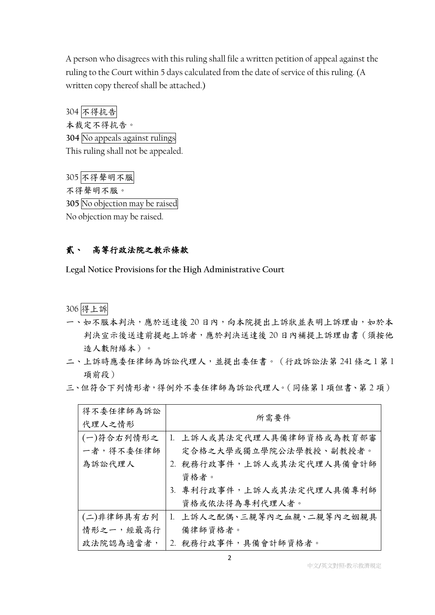A person who disagrees with this ruling shall file a written petition of appeal against the ruling to the Court within 5 days calculated from the date of service of this ruling. (A written copy thereof shall be attached.)

304 不得抗告 本裁定不得抗告。 **304** No appeals against rulings This ruling shall not be appealed.

305 不得聲明不服 不得聲明不服。 **305** No objection may be raised No objection may be raised.

#### 貳、 高等行政法院之教示條款

**Legal Notice Provisions for the High Administrative Court**

306 得上訴

- 一、如不服本判決,應於送達後20日內,向本院提出上訴狀並表明上訴理由,如於本 判決宣示後送達前提起上訴者,應於判決送達後 20 日內補提上訴理由書(須按他 造人數附繕本)。
- 二、上訴時應委任律師為訴訟代理人,並提出委任書。(行政訴訟法第 241 條之 1 第 1 項前段)
- 三、但符合下列情形者,得例外不委任律師為訴訟代理人。(同條第 1 項但書、第 2 項)

| 得不委任律師為訴訟<br>代理人之情形 | 所需要件                       |
|---------------------|----------------------------|
| (一)符合右列情形之          | 1. 上訴人或其法定代理人具備律師資格或為教育部審  |
| 一者,得不委任律師           | 定合格之大學或獨立學院公法學教授、副教授者。     |
| 為訴訟代理人              | 2. 稅務行政事件,上訴人或其法定代理人具備會計師  |
|                     | 資格者。                       |
|                     | 3. 專利行政事件,上訴人或其法定代理人具備專利師  |
|                     | 資格或依法得為專利代理人者。             |
| (二)非律師具有右列          | 1. 上訴人之配偶、三親等內之血親、二親等內之姻親具 |
| 情形之一,經最高行           | 備律師資格者。                    |
| 政法院認為適當者,           | 稅務行政事件,具備會計師資格者。<br>2.     |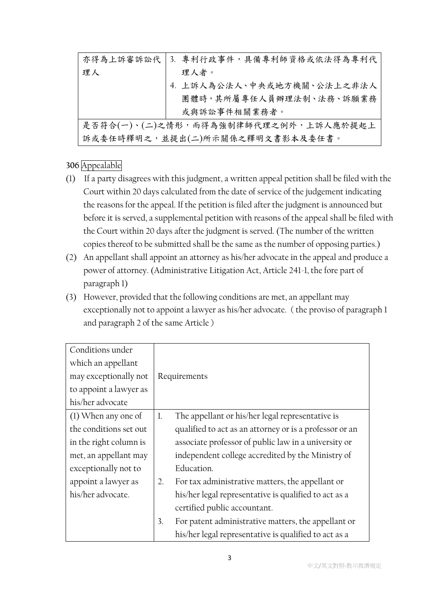|                                      | 亦得為上訴審訴訟代   3. 專利行政事件,具備專利師資格或依法得為專利代 |  |  |
|--------------------------------------|---------------------------------------|--|--|
| 理人                                   | 理人者。                                  |  |  |
|                                      | 4. 上訴人為公法人、中央或地方機關、公法上之非法人            |  |  |
|                                      | 團體時,其所屬專任人員辦理法制、法務、訴願業務               |  |  |
|                                      | 或與訴訟事件相關業務者。                          |  |  |
| 是否符合(一)、(二)之情形,而得為強制律師代理之例外,上訴人應於提起上 |                                       |  |  |
| 訴或委任時釋明之,並提出(二)所示關係之釋明文書影本及委任書。      |                                       |  |  |

## **306** Appealable

- (1) If a party disagrees with this judgment, a written appeal petition shall be filed with the Court within 20 days calculated from the date of service of the judgement indicating the reasons for the appeal. If the petition is filed after the judgment is announced but before it is served, a supplemental petition with reasons of the appeal shall be filed with the Court within 20 days after the judgment is served. (The number of the written copies thereof to be submitted shall be the same as the number of opposing parties.)
- (2) An appellant shall appoint an attorney as his/her advocate in the appeal and produce a power of attorney. (Administrative Litigation Act, Article 241-1, the fore part of paragraph 1)
- (3) However, provided that the following conditions are met, an appellant may exceptionally not to appoint a lawyer as his/her advocate. (the proviso of paragraph 1 and paragraph 2 of the same Article)

| Conditions under       |    |                                                         |
|------------------------|----|---------------------------------------------------------|
| which an appellant     |    |                                                         |
| may exceptionally not  |    | Requirements                                            |
| to appoint a lawyer as |    |                                                         |
| his/her advocate       |    |                                                         |
| (1) When any one of    | 1. | The appellant or his/her legal representative is        |
| the conditions set out |    | qualified to act as an attorney or is a professor or an |
| in the right column is |    | associate professor of public law in a university or    |
| met, an appellant may  |    | independent college accredited by the Ministry of       |
| exceptionally not to   |    | Education.                                              |
| appoint a lawyer as    | 2. | For tax administrative matters, the appellant or        |
| his/her advocate.      |    | his/her legal representative is qualified to act as a   |
|                        |    | certified public accountant.                            |
|                        | 3. | For patent administrative matters, the appellant or     |
|                        |    | his/her legal representative is qualified to act as a   |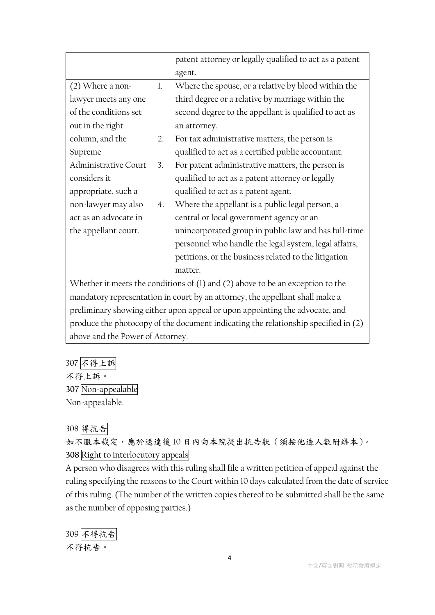|                                                                                    |                | patent attorney or legally qualified to act as a patent |  |
|------------------------------------------------------------------------------------|----------------|---------------------------------------------------------|--|
|                                                                                    |                | agent.                                                  |  |
| $(2)$ Where a non-                                                                 | 1.             | Where the spouse, or a relative by blood within the     |  |
| lawyer meets any one                                                               |                | third degree or a relative by marriage within the       |  |
| of the conditions set                                                              |                | second degree to the appellant is qualified to act as   |  |
| out in the right                                                                   |                | an attorney.                                            |  |
| column, and the                                                                    | 2.             | For tax administrative matters, the person is           |  |
| Supreme                                                                            |                | qualified to act as a certified public accountant.      |  |
| Administrative Court                                                               | 3 <sub>1</sub> | For patent administrative matters, the person is        |  |
| considers it                                                                       |                | qualified to act as a patent attorney or legally        |  |
| appropriate, such a                                                                |                | qualified to act as a patent agent.                     |  |
| non-lawyer may also                                                                | 4.             | Where the appellant is a public legal person, a         |  |
| act as an advocate in                                                              |                | central or local government agency or an                |  |
| the appellant court.                                                               |                | unincorporated group in public law and has full-time    |  |
|                                                                                    |                | personnel who handle the legal system, legal affairs,   |  |
|                                                                                    |                | petitions, or the business related to the litigation    |  |
|                                                                                    |                | matter.                                                 |  |
| Whether it meets the conditions of $(1)$ and $(2)$ above to be an exception to the |                |                                                         |  |

mandatory representation in court by an attorney, the appellant shall make a preliminary showing either upon appeal or upon appointing the advocate, and produce the photocopy of the document indicating the relationship specified in (2) above and the Power of Attorney.

307 不得上訴 不得上訴。 **307** Non-appealable

Non-appealable.

308 得抗告

如不服本裁定,應於送達後 10 日內向本院提出抗告狀(須按他造人數附繕本)。 **308** Right to interlocutory appeals

A person who disagrees with this ruling shall file a written petition of appeal against the ruling specifying the reasons to the Court within 10 days calculated from the date of service of this ruling. (The number of the written copies thereof to be submitted shall be the same as the number of opposing parties.)

309 不得抗告 不得抗告。